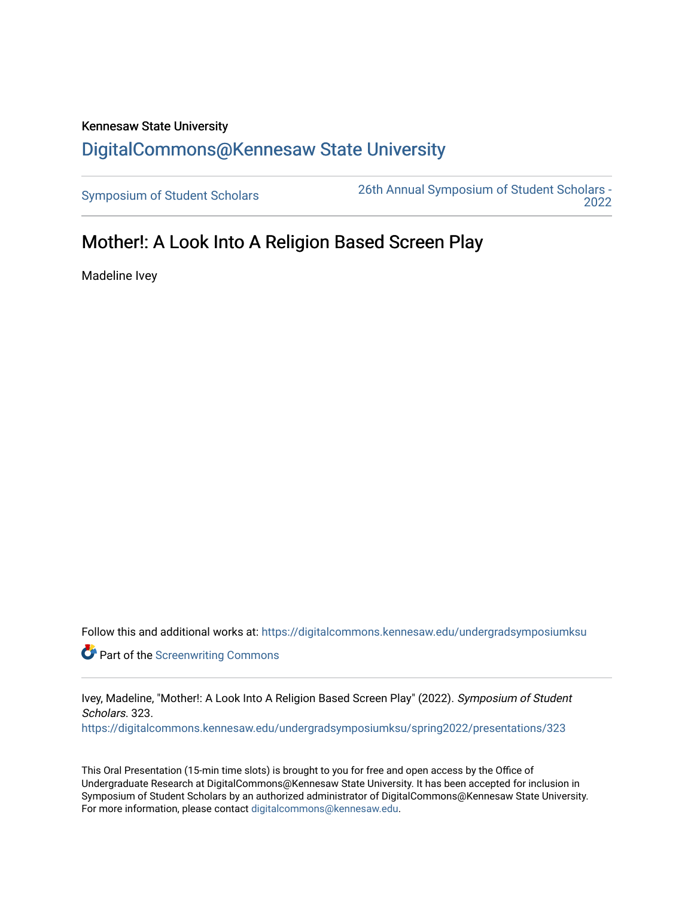## Kennesaw State University [DigitalCommons@Kennesaw State University](https://digitalcommons.kennesaw.edu/)

[Symposium of Student Scholars](https://digitalcommons.kennesaw.edu/undergradsymposiumksu) [26th Annual Symposium of Student Scholars -](https://digitalcommons.kennesaw.edu/undergradsymposiumksu/spring2022)  [2022](https://digitalcommons.kennesaw.edu/undergradsymposiumksu/spring2022) 

## Mother!: A Look Into A Religion Based Screen Play

Madeline Ivey

Follow this and additional works at: [https://digitalcommons.kennesaw.edu/undergradsymposiumksu](https://digitalcommons.kennesaw.edu/undergradsymposiumksu?utm_source=digitalcommons.kennesaw.edu%2Fundergradsymposiumksu%2Fspring2022%2Fpresentations%2F323&utm_medium=PDF&utm_campaign=PDFCoverPages) 

**Part of the Screenwriting Commons** 

Ivey, Madeline, "Mother!: A Look Into A Religion Based Screen Play" (2022). Symposium of Student Scholars. 323.

[https://digitalcommons.kennesaw.edu/undergradsymposiumksu/spring2022/presentations/323](https://digitalcommons.kennesaw.edu/undergradsymposiumksu/spring2022/presentations/323?utm_source=digitalcommons.kennesaw.edu%2Fundergradsymposiumksu%2Fspring2022%2Fpresentations%2F323&utm_medium=PDF&utm_campaign=PDFCoverPages)

This Oral Presentation (15-min time slots) is brought to you for free and open access by the Office of Undergraduate Research at DigitalCommons@Kennesaw State University. It has been accepted for inclusion in Symposium of Student Scholars by an authorized administrator of DigitalCommons@Kennesaw State University. For more information, please contact [digitalcommons@kennesaw.edu.](mailto:digitalcommons@kennesaw.edu)